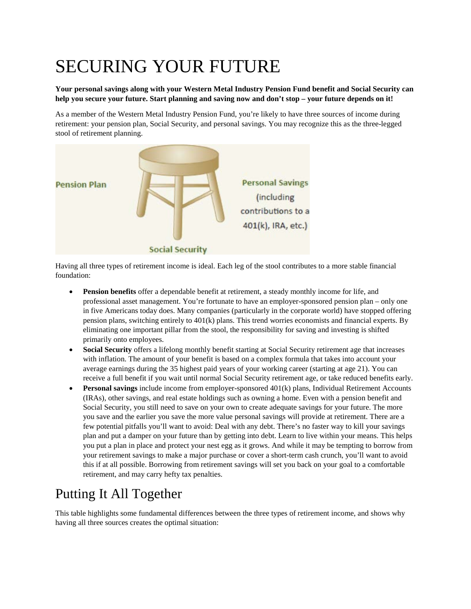## SECURING YOUR FUTURE

## **Your personal savings along with your Western Metal Industry Pension Fund benefit and Social Security can help you secure your future. Start planning and saving now and don't stop – your future depends on it!**

As a member of the Western Metal Industry Pension Fund, you're likely to have three sources of income during retirement: your pension plan, Social Security, and personal savings. You may recognize this as the three-legged stool of retirement planning.



Having all three types of retirement income is ideal. Each leg of the stool contributes to a more stable financial foundation:

- **Pension benefits** offer a dependable benefit at retirement, a steady monthly income for life, and professional asset management. You're fortunate to have an employer-sponsored pension plan – only one in five Americans today does. Many companies (particularly in the corporate world) have stopped offering pension plans, switching entirely to 401(k) plans. This trend worries economists and financial experts. By eliminating one important pillar from the stool, the responsibility for saving and investing is shifted primarily onto employees.
- **Social Security** offers a lifelong monthly benefit starting at Social Security retirement age that increases with inflation. The amount of your benefit is based on a complex formula that takes into account your average earnings during the 35 highest paid years of your working career (starting at age 21). You can receive a full benefit if you wait until normal Social Security retirement age, or take reduced benefits early.
- **Personal savings** include income from employer-sponsored 401(k) plans, Individual Retirement Accounts (IRAs), other savings, and real estate holdings such as owning a home. Even with a pension benefit and Social Security, you still need to save on your own to create adequate savings for your future. The more you save and the earlier you save the more value personal savings will provide at retirement. There are a few potential pitfalls you'll want to avoid: Deal with any debt. There's no faster way to kill your savings plan and put a damper on your future than by getting into debt. Learn to live within your means. This helps you put a plan in place and protect your nest egg as it grows. And while it may be tempting to borrow from your retirement savings to make a major purchase or cover a short-term cash crunch, you'll want to avoid this if at all possible. Borrowing from retirement savings will set you back on your goal to a comfortable retirement, and may carry hefty tax penalties.

## Putting It All Together

This table highlights some fundamental differences between the three types of retirement income, and shows why having all three sources creates the optimal situation: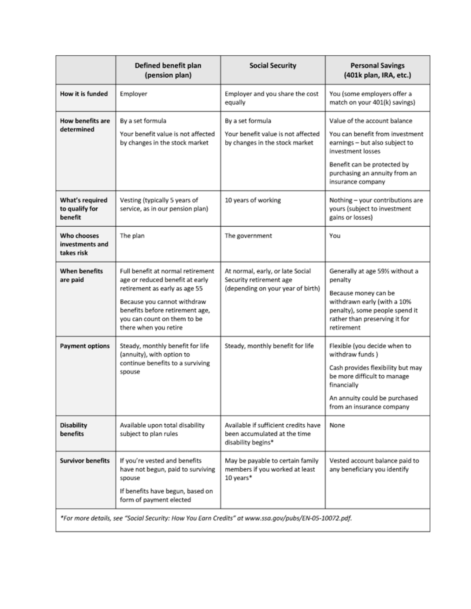|                                                                                                     | Defined benefit plan<br>(pension plan)                                                                                                                                                                                          | <b>Social Security</b>                                                                           | <b>Personal Savings</b><br>(401k plan, IRA, etc.)                                                                                                                                                           |
|-----------------------------------------------------------------------------------------------------|---------------------------------------------------------------------------------------------------------------------------------------------------------------------------------------------------------------------------------|--------------------------------------------------------------------------------------------------|-------------------------------------------------------------------------------------------------------------------------------------------------------------------------------------------------------------|
| How it is funded                                                                                    | Employer                                                                                                                                                                                                                        | Employer and you share the cost<br>equally                                                       | You (some employers offer a<br>match on your 401(k) savings)                                                                                                                                                |
| <b>How benefits are</b><br>determined                                                               | By a set formula<br>Your benefit value is not affected<br>by changes in the stock market                                                                                                                                        | By a set formula<br>Your benefit value is not affected<br>by changes in the stock market         | Value of the account balance<br>You can benefit from investment<br>earnings - but also subject to<br>investment losses<br>Benefit can be protected by<br>purchasing an annuity from an<br>insurance company |
| What's required<br>to qualify for<br>benefit                                                        | Vesting (typically 5 years of<br>service, as in our pension plan)                                                                                                                                                               | 10 years of working                                                                              | Nothing - your contributions are<br>yours (subject to investment<br>gains or losses)                                                                                                                        |
| Who chooses<br>investments and<br>takes risk                                                        | The plan                                                                                                                                                                                                                        | The government                                                                                   | You                                                                                                                                                                                                         |
| <b>When benefits</b><br>are paid                                                                    | Full benefit at normal retirement<br>age or reduced benefit at early<br>retirement as early as age 55<br>Because you cannot withdraw<br>benefits before retirement age,<br>you can count on them to be<br>there when you retire | At normal, early, or late Social<br>Security retirement age<br>(depending on your year of birth) | Generally at age 59% without a<br>penalty<br>Because money can be<br>withdrawn early (with a 10%<br>penalty), some people spend it<br>rather than preserving it for<br>retirement                           |
| <b>Payment options</b>                                                                              | Steady, monthly benefit for life<br>(annuity), with option to<br>continue benefits to a surviving<br>spouse                                                                                                                     | Steady, monthly benefit for life                                                                 | Flexible (you decide when to<br>withdraw funds)<br>Cash provides flexibility but may<br>be more difficult to manage<br>financially<br>An annuity could be purchased<br>from an insurance company            |
| <b>Disability</b><br>benefits                                                                       | Available upon total disability<br>subject to plan rules                                                                                                                                                                        | Available if sufficient credits have<br>been accumulated at the time<br>disability begins*       | None                                                                                                                                                                                                        |
| <b>Survivor benefits</b>                                                                            | If you're vested and benefits<br>have not begun, paid to surviving<br>spouse<br>If benefits have begun, based on<br>form of payment elected                                                                                     | May be payable to certain family<br>members if you worked at least<br>10 years*                  | Vested account balance paid to<br>any beneficiary you identify                                                                                                                                              |
| *For more details, see "Social Security: How You Earn Credits" at www.ssa.gov/pubs/EN-05-10072.pdf. |                                                                                                                                                                                                                                 |                                                                                                  |                                                                                                                                                                                                             |